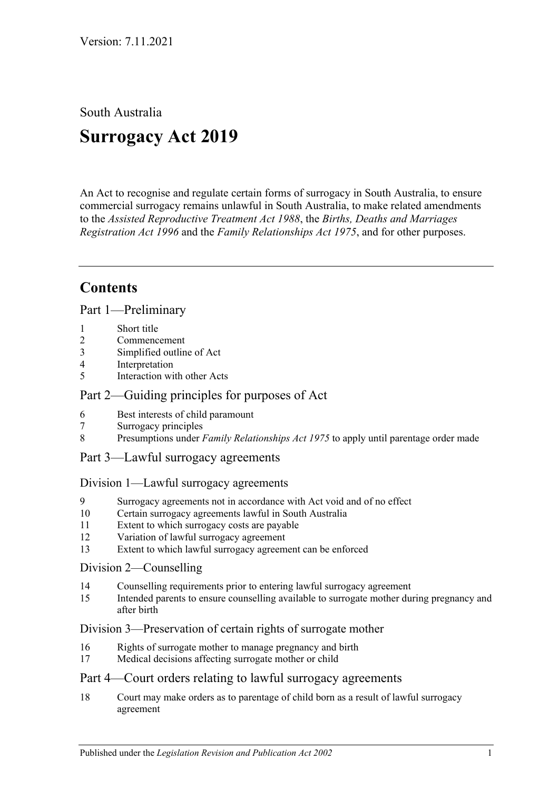South Australia

# **Surrogacy Act 2019**

An Act to recognise and regulate certain forms of surrogacy in South Australia, to ensure commercial surrogacy remains unlawful in South Australia, to make related amendments to the *[Assisted Reproductive Treatment Act](http://www.legislation.sa.gov.au/index.aspx?action=legref&type=act&legtitle=Assisted%20Reproductive%20Treatment%20Act%201988) 1988*, the *[Births, Deaths and Marriages](http://www.legislation.sa.gov.au/index.aspx?action=legref&type=act&legtitle=Births%20Deaths%20and%20Marriages%20Registration%20Act%201996)  [Registration Act](http://www.legislation.sa.gov.au/index.aspx?action=legref&type=act&legtitle=Births%20Deaths%20and%20Marriages%20Registration%20Act%201996) 1996* and the *[Family Relationships Act](http://www.legislation.sa.gov.au/index.aspx?action=legref&type=act&legtitle=Family%20Relationships%20Act%201975) 1975*, and for other purposes.

## **Contents**

Part [1—Preliminary](#page-2-0)

- 1 [Short title](#page-2-1)
- 2 [Commencement](#page-2-2)
- 3 [Simplified outline of Act](#page-2-3)
- 4 [Interpretation](#page-2-4)
- 5 [Interaction with other Acts](#page-4-0)

### Part [2—Guiding principles for purposes of Act](#page-4-1)

- 6 [Best interests of child paramount](#page-4-2)
- 7 [Surrogacy principles](#page-4-3)
- 8 Presumptions under *Family Relationships Act 1975* [to apply until parentage order made](#page-4-4)
- Part [3—Lawful surrogacy agreements](#page-5-0)

#### Division [1—Lawful surrogacy agreements](#page-5-1)

- 9 [Surrogacy agreements not in accordance with Act void and of no effect](#page-5-2)
- 10 [Certain surrogacy agreements lawful in South Australia](#page-5-3)
- 11 [Extent to which surrogacy costs are payable](#page-7-0)
- 12 [Variation of lawful surrogacy agreement](#page-7-1)
- 13 [Extent to which lawful surrogacy agreement can be enforced](#page-7-2)

#### Division [2—Counselling](#page-8-0)

- 14 [Counselling requirements prior to entering lawful surrogacy agreement](#page-8-1)
- 15 [Intended parents to ensure counselling available to surrogate mother during pregnancy and](#page-9-0)  [after birth](#page-9-0)

#### Division [3—Preservation of certain rights of surrogate mother](#page-9-1)

- 16 [Rights of surrogate mother to manage pregnancy and birth](#page-9-2)
- 17 [Medical decisions affecting surrogate mother or child](#page-9-3)

#### Part [4—Court orders relating to lawful surrogacy agreements](#page-10-0)

18 [Court may make orders as to parentage of child born as a result of lawful surrogacy](#page-10-1)  [agreement](#page-10-1)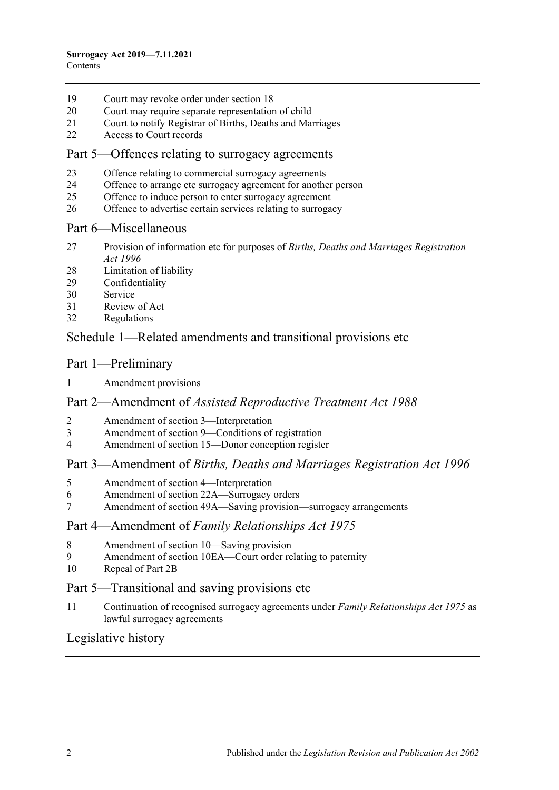- [Court may revoke order under section](#page-12-0) 18
- [Court may require separate representation of child](#page-13-0)
- [Court to notify Registrar of Births, Deaths and Marriages](#page-13-1)
- [Access to Court records](#page-14-0)

#### Part [5—Offences relating to surrogacy agreements](#page-14-1)

- [Offence relating to commercial surrogacy agreements](#page-14-2)
- [Offence to arrange etc surrogacy agreement for another person](#page-14-3)
- [Offence to induce person to enter surrogacy agreement](#page-15-0)
- [Offence to advertise certain services relating to surrogacy](#page-15-1)

#### Part [6—Miscellaneous](#page-15-2)

- [Provision of information etc for purposes of](#page-15-3) *Births, Deaths and Marriages Registration Act [1996](#page-15-3)*
- [Limitation of liability](#page-16-0)
- [Confidentiality](#page-16-1)
- [Service](#page-16-2)
- [Review of Act](#page-16-3)
- [Regulations](#page-17-0)

### Schedule [1—Related amendments and transitional provisions etc](#page-17-1)

#### Part 1—Preliminary

[Amendment provisions](#page-17-2)

#### Part 2—Amendment of *Assisted Reproductive Treatment Act 1988*

- [Amendment of section 3—Interpretation](#page-18-0)
- [Amendment of section 9—Conditions of registration](#page-18-1)
- [Amendment of section 15—Donor conception register](#page-18-2)

#### Part 3—Amendment of *Births, Deaths and Marriages Registration Act 1996*

- [Amendment of section 4—Interpretation](#page-18-3)
- [Amendment of section 22A—Surrogacy orders](#page-18-4)
- [Amendment of section 49A—Saving provision—surrogacy arrangements](#page-19-0)

#### Part 4—Amendment of *Family Relationships Act 1975*

- [Amendment of section 10—Saving provision](#page-19-1)
- [Amendment of section 10EA—Court order relating to paternity](#page-19-2)
- [Repeal of Part 2B](#page-19-3)

#### Part 5—Transitional and saving provisions etc

 [Continuation of recognised surrogacy agreements under](#page-19-4) *Family Relationships Act 1975* as [lawful surrogacy agreements](#page-19-4)

#### [Legislative history](#page-20-0)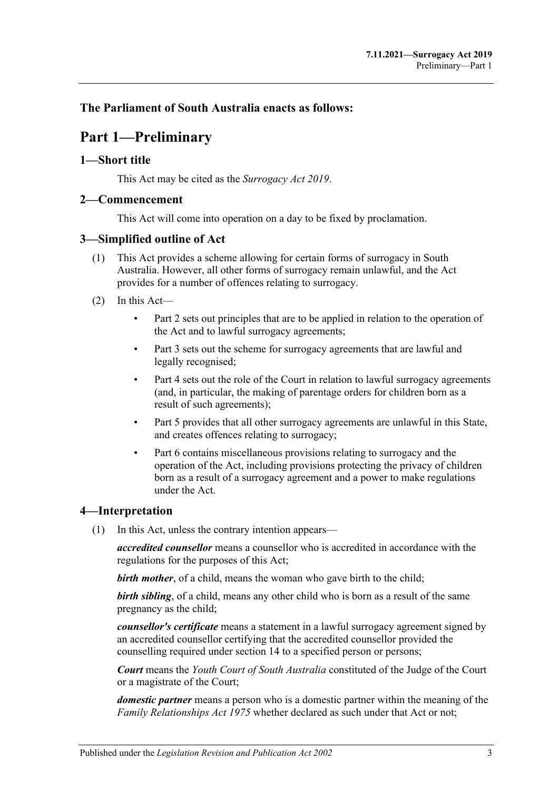### <span id="page-2-0"></span>**The Parliament of South Australia enacts as follows:**

## **Part 1—Preliminary**

#### <span id="page-2-1"></span>**1—Short title**

This Act may be cited as the *Surrogacy Act 2019*.

#### <span id="page-2-2"></span>**2—Commencement**

This Act will come into operation on a day to be fixed by proclamation.

#### <span id="page-2-3"></span>**3—Simplified outline of Act**

- (1) This Act provides a scheme allowing for certain forms of surrogacy in South Australia. However, all other forms of surrogacy remain unlawful, and the Act provides for a number of offences relating to surrogacy.
- (2) In this Act—
	- [Part](#page-4-1) 2 sets out principles that are to be applied in relation to the operation of the Act and to lawful surrogacy agreements;
	- [Part](#page-5-0) 3 sets out the scheme for surrogacy agreements that are lawful and legally recognised;
	- [Part](#page-10-0) 4 sets out the role of the Court in relation to lawful surrogacy agreements (and, in particular, the making of parentage orders for children born as a result of such agreements);
	- [Part](#page-14-1) 5 provides that all other surrogacy agreements are unlawful in this State, and creates offences relating to surrogacy;
	- [Part](#page-15-2) 6 contains miscellaneous provisions relating to surrogacy and the operation of the Act, including provisions protecting the privacy of children born as a result of a surrogacy agreement and a power to make regulations under the Act.

#### <span id="page-2-4"></span>**4—Interpretation**

(1) In this Act, unless the contrary intention appears—

*accredited counsellor* means a counsellor who is accredited in accordance with the regulations for the purposes of this Act;

*birth mother*, of a child, means the woman who gave birth to the child;

*birth sibling*, of a child, means any other child who is born as a result of the same pregnancy as the child;

*counsellor's certificate* means a statement in a lawful surrogacy agreement signed by an accredited counsellor certifying that the accredited counsellor provided the counselling required under [section](#page-8-1) 14 to a specified person or persons;

*Court* means the *Youth Court of South Australia* constituted of the Judge of the Court or a magistrate of the Court;

*domestic partner* means a person who is a domestic partner within the meaning of the *[Family Relationships Act](http://www.legislation.sa.gov.au/index.aspx?action=legref&type=act&legtitle=Family%20Relationships%20Act%201975) 1975* whether declared as such under that Act or not;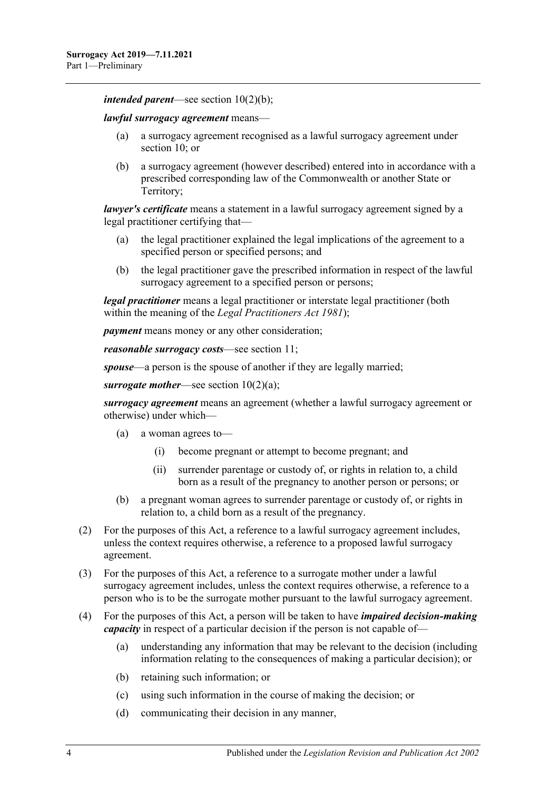*intended parent*—see section [10\(2\)\(b\);](#page-5-4)

*lawful surrogacy agreement* means—

- (a) a surrogacy agreement recognised as a lawful surrogacy agreement under [section](#page-5-3) 10; or
- (b) a surrogacy agreement (however described) entered into in accordance with a prescribed corresponding law of the Commonwealth or another State or Territory;

*lawyer's certificate* means a statement in a lawful surrogacy agreement signed by a legal practitioner certifying that—

- (a) the legal practitioner explained the legal implications of the agreement to a specified person or specified persons; and
- (b) the legal practitioner gave the prescribed information in respect of the lawful surrogacy agreement to a specified person or persons;

*legal practitioner* means a legal practitioner or interstate legal practitioner (both within the meaning of the *[Legal Practitioners Act](http://www.legislation.sa.gov.au/index.aspx?action=legref&type=act&legtitle=Legal%20Practitioners%20Act%201981) 1981*);

*payment* means money or any other consideration;

*reasonable surrogacy costs*—see [section](#page-7-0) 11;

*spouse*—a person is the spouse of another if they are legally married;

*surrogate mother*—see section [10\(2\)\(a\);](#page-5-5)

*surrogacy agreement* means an agreement (whether a lawful surrogacy agreement or otherwise) under which—

- (a) a woman agrees to—
	- (i) become pregnant or attempt to become pregnant; and
	- (ii) surrender parentage or custody of, or rights in relation to, a child born as a result of the pregnancy to another person or persons; or
- (b) a pregnant woman agrees to surrender parentage or custody of, or rights in relation to, a child born as a result of the pregnancy.
- (2) For the purposes of this Act, a reference to a lawful surrogacy agreement includes, unless the context requires otherwise, a reference to a proposed lawful surrogacy agreement.
- (3) For the purposes of this Act, a reference to a surrogate mother under a lawful surrogacy agreement includes, unless the context requires otherwise, a reference to a person who is to be the surrogate mother pursuant to the lawful surrogacy agreement.
- (4) For the purposes of this Act, a person will be taken to have *impaired decision-making capacity* in respect of a particular decision if the person is not capable of—
	- (a) understanding any information that may be relevant to the decision (including information relating to the consequences of making a particular decision); or
	- (b) retaining such information; or
	- (c) using such information in the course of making the decision; or
	- (d) communicating their decision in any manner,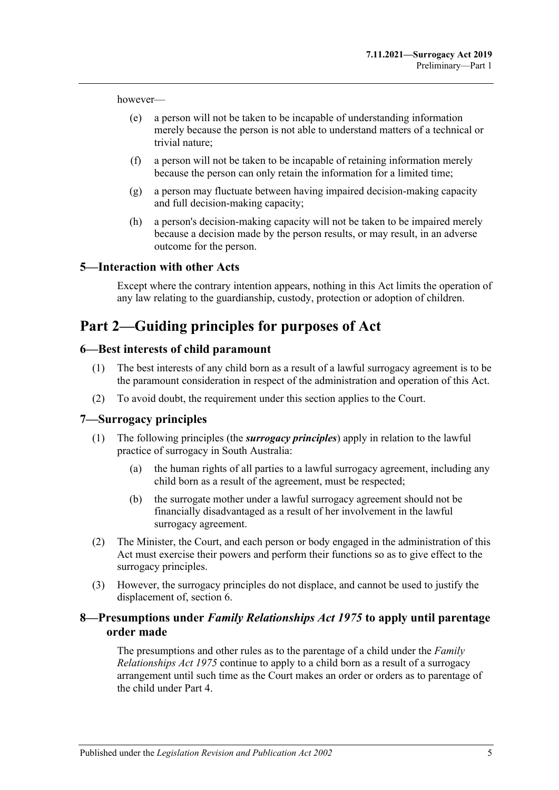however—

- (e) a person will not be taken to be incapable of understanding information merely because the person is not able to understand matters of a technical or trivial nature;
- (f) a person will not be taken to be incapable of retaining information merely because the person can only retain the information for a limited time;
- (g) a person may fluctuate between having impaired decision-making capacity and full decision-making capacity;
- (h) a person's decision-making capacity will not be taken to be impaired merely because a decision made by the person results, or may result, in an adverse outcome for the person.

#### <span id="page-4-0"></span>**5—Interaction with other Acts**

Except where the contrary intention appears, nothing in this Act limits the operation of any law relating to the guardianship, custody, protection or adoption of children.

## <span id="page-4-1"></span>**Part 2—Guiding principles for purposes of Act**

#### <span id="page-4-2"></span>**6—Best interests of child paramount**

- (1) The best interests of any child born as a result of a lawful surrogacy agreement is to be the paramount consideration in respect of the administration and operation of this Act.
- (2) To avoid doubt, the requirement under this section applies to the Court.

#### <span id="page-4-3"></span>**7—Surrogacy principles**

- (1) The following principles (the *surrogacy principles*) apply in relation to the lawful practice of surrogacy in South Australia:
	- (a) the human rights of all parties to a lawful surrogacy agreement, including any child born as a result of the agreement, must be respected;
	- (b) the surrogate mother under a lawful surrogacy agreement should not be financially disadvantaged as a result of her involvement in the lawful surrogacy agreement.
- (2) The Minister, the Court, and each person or body engaged in the administration of this Act must exercise their powers and perform their functions so as to give effect to the surrogacy principles.
- (3) However, the surrogacy principles do not displace, and cannot be used to justify the displacement of, [section](#page-4-2) 6.

#### <span id="page-4-4"></span>**8—Presumptions under** *Family Relationships Act 1975* **to apply until parentage order made**

The presumptions and other rules as to the parentage of a child under the *[Family](http://www.legislation.sa.gov.au/index.aspx?action=legref&type=act&legtitle=Family%20Relationships%20Act%201975)  [Relationships Act](http://www.legislation.sa.gov.au/index.aspx?action=legref&type=act&legtitle=Family%20Relationships%20Act%201975) 1975* continue to apply to a child born as a result of a surrogacy arrangement until such time as the Court makes an order or orders as to parentage of the child under [Part](#page-10-0) 4.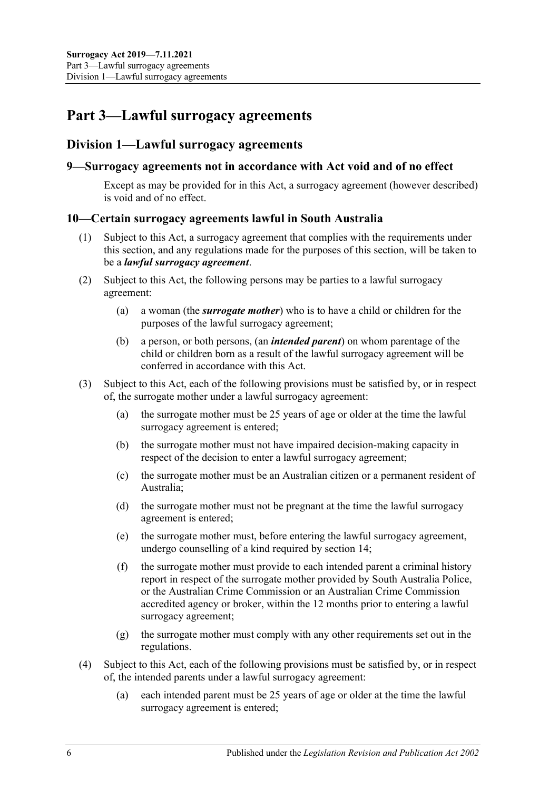## <span id="page-5-0"></span>**Part 3—Lawful surrogacy agreements**

### <span id="page-5-1"></span>**Division 1—Lawful surrogacy agreements**

#### <span id="page-5-2"></span>**9—Surrogacy agreements not in accordance with Act void and of no effect**

Except as may be provided for in this Act, a surrogacy agreement (however described) is void and of no effect.

#### <span id="page-5-3"></span>**10—Certain surrogacy agreements lawful in South Australia**

- (1) Subject to this Act, a surrogacy agreement that complies with the requirements under this section, and any regulations made for the purposes of this section, will be taken to be a *lawful surrogacy agreement*.
- <span id="page-5-5"></span>(2) Subject to this Act, the following persons may be parties to a lawful surrogacy agreement:
	- (a) a woman (the *surrogate mother*) who is to have a child or children for the purposes of the lawful surrogacy agreement;
	- (b) a person, or both persons, (an *intended parent*) on whom parentage of the child or children born as a result of the lawful surrogacy agreement will be conferred in accordance with this Act.
- <span id="page-5-4"></span>(3) Subject to this Act, each of the following provisions must be satisfied by, or in respect of, the surrogate mother under a lawful surrogacy agreement:
	- (a) the surrogate mother must be 25 years of age or older at the time the lawful surrogacy agreement is entered;
	- (b) the surrogate mother must not have impaired decision-making capacity in respect of the decision to enter a lawful surrogacy agreement;
	- (c) the surrogate mother must be an Australian citizen or a permanent resident of Australia;
	- (d) the surrogate mother must not be pregnant at the time the lawful surrogacy agreement is entered;
	- (e) the surrogate mother must, before entering the lawful surrogacy agreement, undergo counselling of a kind required by [section](#page-8-1) 14;
	- (f) the surrogate mother must provide to each intended parent a criminal history report in respect of the surrogate mother provided by South Australia Police, or the Australian Crime Commission or an Australian Crime Commission accredited agency or broker, within the 12 months prior to entering a lawful surrogacy agreement;
	- (g) the surrogate mother must comply with any other requirements set out in the regulations.
- (4) Subject to this Act, each of the following provisions must be satisfied by, or in respect of, the intended parents under a lawful surrogacy agreement:
	- (a) each intended parent must be 25 years of age or older at the time the lawful surrogacy agreement is entered;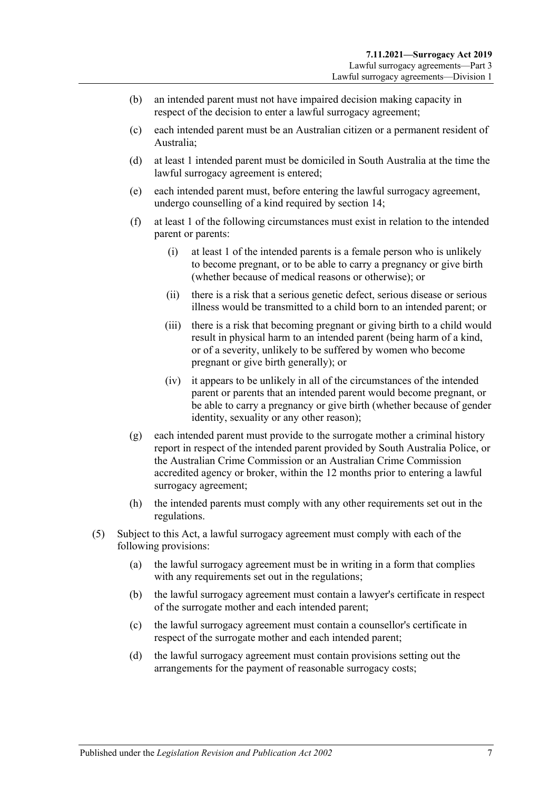- (b) an intended parent must not have impaired decision making capacity in respect of the decision to enter a lawful surrogacy agreement;
- (c) each intended parent must be an Australian citizen or a permanent resident of Australia;
- (d) at least 1 intended parent must be domiciled in South Australia at the time the lawful surrogacy agreement is entered;
- (e) each intended parent must, before entering the lawful surrogacy agreement, undergo counselling of a kind required by [section](#page-8-1) 14;
- (f) at least 1 of the following circumstances must exist in relation to the intended parent or parents:
	- (i) at least 1 of the intended parents is a female person who is unlikely to become pregnant, or to be able to carry a pregnancy or give birth (whether because of medical reasons or otherwise); or
	- (ii) there is a risk that a serious genetic defect, serious disease or serious illness would be transmitted to a child born to an intended parent; or
	- (iii) there is a risk that becoming pregnant or giving birth to a child would result in physical harm to an intended parent (being harm of a kind, or of a severity, unlikely to be suffered by women who become pregnant or give birth generally); or
	- (iv) it appears to be unlikely in all of the circumstances of the intended parent or parents that an intended parent would become pregnant, or be able to carry a pregnancy or give birth (whether because of gender identity, sexuality or any other reason);
- (g) each intended parent must provide to the surrogate mother a criminal history report in respect of the intended parent provided by South Australia Police, or the Australian Crime Commission or an Australian Crime Commission accredited agency or broker, within the 12 months prior to entering a lawful surrogacy agreement;
- (h) the intended parents must comply with any other requirements set out in the regulations.
- (5) Subject to this Act, a lawful surrogacy agreement must comply with each of the following provisions:
	- (a) the lawful surrogacy agreement must be in writing in a form that complies with any requirements set out in the regulations;
	- (b) the lawful surrogacy agreement must contain a lawyer's certificate in respect of the surrogate mother and each intended parent;
	- (c) the lawful surrogacy agreement must contain a counsellor's certificate in respect of the surrogate mother and each intended parent;
	- (d) the lawful surrogacy agreement must contain provisions setting out the arrangements for the payment of reasonable surrogacy costs;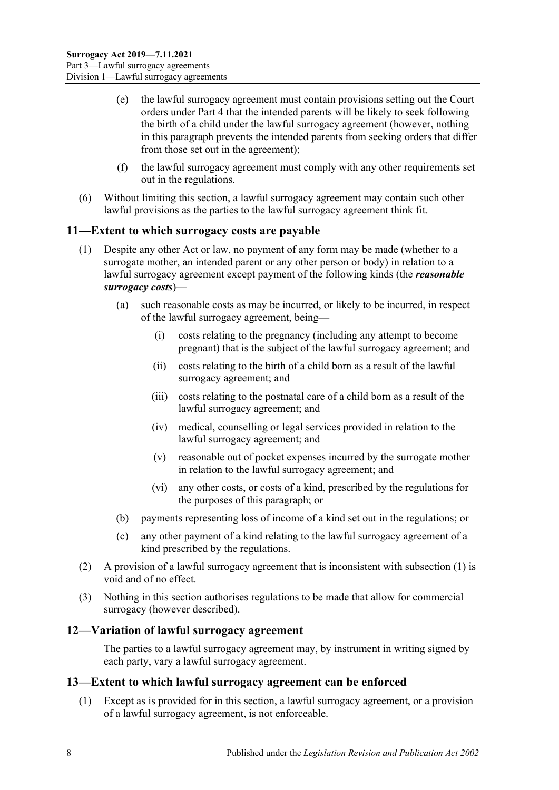- (e) the lawful surrogacy agreement must contain provisions setting out the Court orders under [Part](#page-10-0) 4 that the intended parents will be likely to seek following the birth of a child under the lawful surrogacy agreement (however, nothing in this paragraph prevents the intended parents from seeking orders that differ from those set out in the agreement);
- (f) the lawful surrogacy agreement must comply with any other requirements set out in the regulations.
- (6) Without limiting this section, a lawful surrogacy agreement may contain such other lawful provisions as the parties to the lawful surrogacy agreement think fit.

#### <span id="page-7-3"></span><span id="page-7-0"></span>**11—Extent to which surrogacy costs are payable**

- (1) Despite any other Act or law, no payment of any form may be made (whether to a surrogate mother, an intended parent or any other person or body) in relation to a lawful surrogacy agreement except payment of the following kinds (the *reasonable surrogacy costs*)—
	- (a) such reasonable costs as may be incurred, or likely to be incurred, in respect of the lawful surrogacy agreement, being—
		- (i) costs relating to the pregnancy (including any attempt to become pregnant) that is the subject of the lawful surrogacy agreement; and
		- (ii) costs relating to the birth of a child born as a result of the lawful surrogacy agreement; and
		- (iii) costs relating to the postnatal care of a child born as a result of the lawful surrogacy agreement; and
		- (iv) medical, counselling or legal services provided in relation to the lawful surrogacy agreement; and
		- (v) reasonable out of pocket expenses incurred by the surrogate mother in relation to the lawful surrogacy agreement; and
		- (vi) any other costs, or costs of a kind, prescribed by the regulations for the purposes of this paragraph; or
	- (b) payments representing loss of income of a kind set out in the regulations; or
	- (c) any other payment of a kind relating to the lawful surrogacy agreement of a kind prescribed by the regulations.
- (2) A provision of a lawful surrogacy agreement that is inconsistent with [subsection](#page-7-3) (1) is void and of no effect.
- (3) Nothing in this section authorises regulations to be made that allow for commercial surrogacy (however described).

#### <span id="page-7-1"></span>**12—Variation of lawful surrogacy agreement**

The parties to a lawful surrogacy agreement may, by instrument in writing signed by each party, vary a lawful surrogacy agreement.

#### <span id="page-7-2"></span>**13—Extent to which lawful surrogacy agreement can be enforced**

(1) Except as is provided for in this section, a lawful surrogacy agreement, or a provision of a lawful surrogacy agreement, is not enforceable.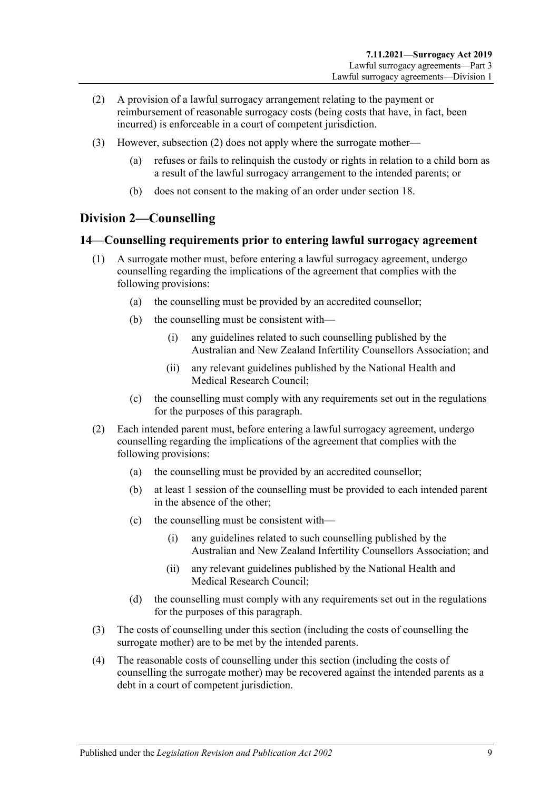- <span id="page-8-2"></span>(2) A provision of a lawful surrogacy arrangement relating to the payment or reimbursement of reasonable surrogacy costs (being costs that have, in fact, been incurred) is enforceable in a court of competent jurisdiction.
- (3) However, [subsection](#page-8-2) (2) does not apply where the surrogate mother—
	- (a) refuses or fails to relinquish the custody or rights in relation to a child born as a result of the lawful surrogacy arrangement to the intended parents; or
	- (b) does not consent to the making of an order under [section](#page-10-1) 18.

### <span id="page-8-0"></span>**Division 2—Counselling**

#### <span id="page-8-1"></span>**14—Counselling requirements prior to entering lawful surrogacy agreement**

- (1) A surrogate mother must, before entering a lawful surrogacy agreement, undergo counselling regarding the implications of the agreement that complies with the following provisions:
	- (a) the counselling must be provided by an accredited counsellor;
	- (b) the counselling must be consistent with—
		- (i) any guidelines related to such counselling published by the Australian and New Zealand Infertility Counsellors Association; and
		- (ii) any relevant guidelines published by the National Health and Medical Research Council;
	- (c) the counselling must comply with any requirements set out in the regulations for the purposes of this paragraph.
- (2) Each intended parent must, before entering a lawful surrogacy agreement, undergo counselling regarding the implications of the agreement that complies with the following provisions:
	- (a) the counselling must be provided by an accredited counsellor;
	- (b) at least 1 session of the counselling must be provided to each intended parent in the absence of the other;
	- (c) the counselling must be consistent with—
		- (i) any guidelines related to such counselling published by the Australian and New Zealand Infertility Counsellors Association; and
		- (ii) any relevant guidelines published by the National Health and Medical Research Council;
	- (d) the counselling must comply with any requirements set out in the regulations for the purposes of this paragraph.
- (3) The costs of counselling under this section (including the costs of counselling the surrogate mother) are to be met by the intended parents.
- (4) The reasonable costs of counselling under this section (including the costs of counselling the surrogate mother) may be recovered against the intended parents as a debt in a court of competent jurisdiction.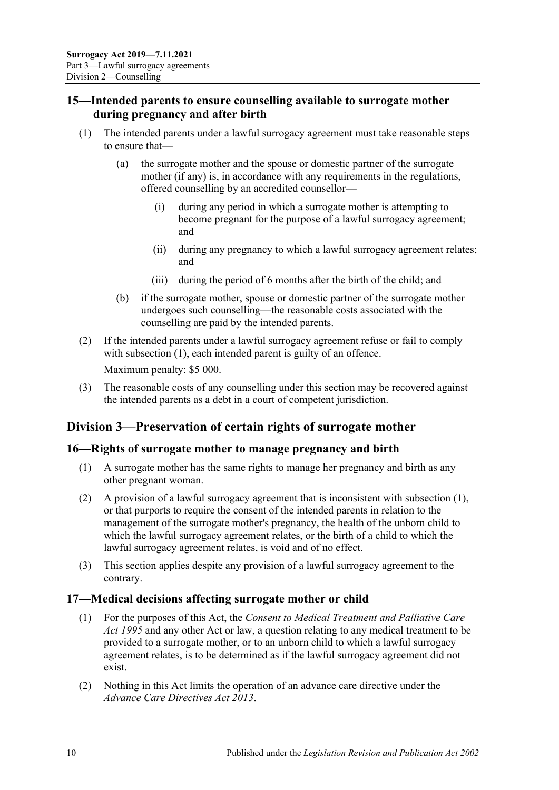### <span id="page-9-0"></span>**15—Intended parents to ensure counselling available to surrogate mother during pregnancy and after birth**

- <span id="page-9-4"></span>(1) The intended parents under a lawful surrogacy agreement must take reasonable steps to ensure that—
	- (a) the surrogate mother and the spouse or domestic partner of the surrogate mother (if any) is, in accordance with any requirements in the regulations, offered counselling by an accredited counsellor—
		- (i) during any period in which a surrogate mother is attempting to become pregnant for the purpose of a lawful surrogacy agreement; and
		- (ii) during any pregnancy to which a lawful surrogacy agreement relates; and
		- (iii) during the period of 6 months after the birth of the child; and
	- (b) if the surrogate mother, spouse or domestic partner of the surrogate mother undergoes such counselling—the reasonable costs associated with the counselling are paid by the intended parents.
- (2) If the intended parents under a lawful surrogacy agreement refuse or fail to comply with [subsection](#page-9-4) (1), each intended parent is guilty of an offence. Maximum penalty: \$5 000.
- (3) The reasonable costs of any counselling under this section may be recovered against the intended parents as a debt in a court of competent jurisdiction.

## <span id="page-9-1"></span>**Division 3—Preservation of certain rights of surrogate mother**

#### <span id="page-9-5"></span><span id="page-9-2"></span>**16—Rights of surrogate mother to manage pregnancy and birth**

- (1) A surrogate mother has the same rights to manage her pregnancy and birth as any other pregnant woman.
- (2) A provision of a lawful surrogacy agreement that is inconsistent with [subsection](#page-9-5) (1), or that purports to require the consent of the intended parents in relation to the management of the surrogate mother's pregnancy, the health of the unborn child to which the lawful surrogacy agreement relates, or the birth of a child to which the lawful surrogacy agreement relates, is void and of no effect.
- (3) This section applies despite any provision of a lawful surrogacy agreement to the contrary.

#### <span id="page-9-3"></span>**17—Medical decisions affecting surrogate mother or child**

- (1) For the purposes of this Act, the *[Consent to Medical Treatment and Palliative Care](http://www.legislation.sa.gov.au/index.aspx?action=legref&type=act&legtitle=Consent%20to%20Medical%20Treatment%20and%20Palliative%20Care%20Act%201995)  Act [1995](http://www.legislation.sa.gov.au/index.aspx?action=legref&type=act&legtitle=Consent%20to%20Medical%20Treatment%20and%20Palliative%20Care%20Act%201995)* and any other Act or law, a question relating to any medical treatment to be provided to a surrogate mother, or to an unborn child to which a lawful surrogacy agreement relates, is to be determined as if the lawful surrogacy agreement did not exist.
- (2) Nothing in this Act limits the operation of an advance care directive under the *[Advance Care Directives Act](http://www.legislation.sa.gov.au/index.aspx?action=legref&type=act&legtitle=Advance%20Care%20Directives%20Act%202013) 2013*.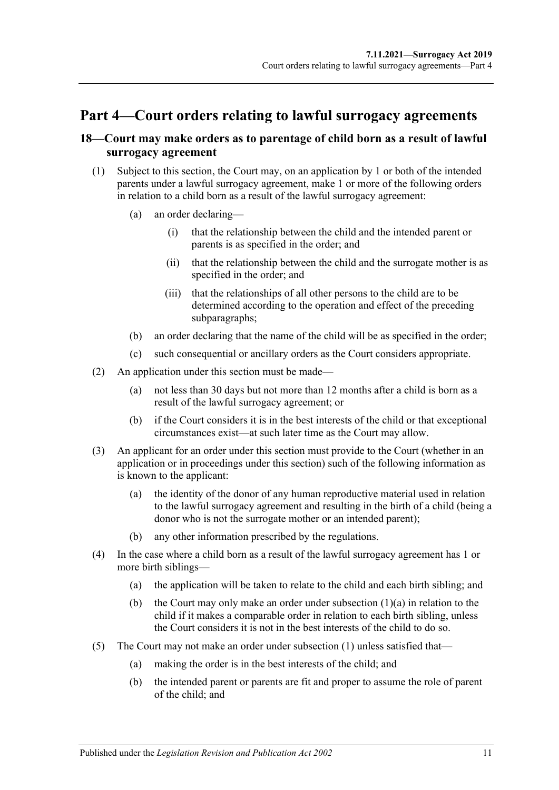## <span id="page-10-0"></span>**Part 4—Court orders relating to lawful surrogacy agreements**

### <span id="page-10-1"></span>**18—Court may make orders as to parentage of child born as a result of lawful surrogacy agreement**

- <span id="page-10-3"></span><span id="page-10-2"></span>(1) Subject to this section, the Court may, on an application by 1 or both of the intended parents under a lawful surrogacy agreement, make 1 or more of the following orders in relation to a child born as a result of the lawful surrogacy agreement:
	- (a) an order declaring—
		- (i) that the relationship between the child and the intended parent or parents is as specified in the order; and
		- (ii) that the relationship between the child and the surrogate mother is as specified in the order; and
		- (iii) that the relationships of all other persons to the child are to be determined according to the operation and effect of the preceding subparagraphs;
	- (b) an order declaring that the name of the child will be as specified in the order;
	- (c) such consequential or ancillary orders as the Court considers appropriate.
- (2) An application under this section must be made—
	- (a) not less than 30 days but not more than 12 months after a child is born as a result of the lawful surrogacy agreement; or
	- (b) if the Court considers it is in the best interests of the child or that exceptional circumstances exist—at such later time as the Court may allow.
- (3) An applicant for an order under this section must provide to the Court (whether in an application or in proceedings under this section) such of the following information as is known to the applicant:
	- (a) the identity of the donor of any human reproductive material used in relation to the lawful surrogacy agreement and resulting in the birth of a child (being a donor who is not the surrogate mother or an intended parent);
	- (b) any other information prescribed by the regulations.
- (4) In the case where a child born as a result of the lawful surrogacy agreement has 1 or more birth siblings—
	- (a) the application will be taken to relate to the child and each birth sibling; and
	- (b) the Court may only make an order under [subsection](#page-10-2) (1)(a) in relation to the child if it makes a comparable order in relation to each birth sibling, unless the Court considers it is not in the best interests of the child to do so.
- (5) The Court may not make an order under [subsection](#page-10-3) (1) unless satisfied that—
	- (a) making the order is in the best interests of the child; and
	- (b) the intended parent or parents are fit and proper to assume the role of parent of the child; and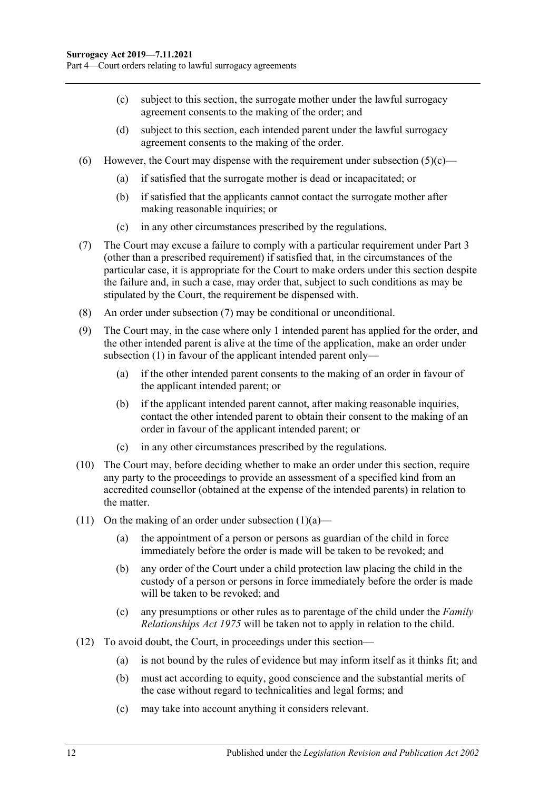- <span id="page-11-0"></span>(c) subject to this section, the surrogate mother under the lawful surrogacy agreement consents to the making of the order; and
- (d) subject to this section, each intended parent under the lawful surrogacy agreement consents to the making of the order.
- (6) However, the Court may dispense with the requirement under [subsection](#page-11-0)  $(5)(c)$ 
	- (a) if satisfied that the surrogate mother is dead or incapacitated; or
	- (b) if satisfied that the applicants cannot contact the surrogate mother after making reasonable inquiries; or
	- (c) in any other circumstances prescribed by the regulations.
- <span id="page-11-1"></span>(7) The Court may excuse a failure to comply with a particular requirement under [Part](#page-5-0) 3 (other than a prescribed requirement) if satisfied that, in the circumstances of the particular case, it is appropriate for the Court to make orders under this section despite the failure and, in such a case, may order that, subject to such conditions as may be stipulated by the Court, the requirement be dispensed with.
- (8) An order under [subsection](#page-11-1) (7) may be conditional or unconditional.
- (9) The Court may, in the case where only 1 intended parent has applied for the order, and the other intended parent is alive at the time of the application, make an order under [subsection](#page-10-3) (1) in favour of the applicant intended parent only—
	- (a) if the other intended parent consents to the making of an order in favour of the applicant intended parent; or
	- (b) if the applicant intended parent cannot, after making reasonable inquiries, contact the other intended parent to obtain their consent to the making of an order in favour of the applicant intended parent; or
	- (c) in any other circumstances prescribed by the regulations.
- (10) The Court may, before deciding whether to make an order under this section, require any party to the proceedings to provide an assessment of a specified kind from an accredited counsellor (obtained at the expense of the intended parents) in relation to the matter.
- (11) On the making of an order under [subsection](#page-10-2)  $(1)(a)$ 
	- (a) the appointment of a person or persons as guardian of the child in force immediately before the order is made will be taken to be revoked; and
	- (b) any order of the Court under a child protection law placing the child in the custody of a person or persons in force immediately before the order is made will be taken to be revoked; and
	- (c) any presumptions or other rules as to parentage of the child under the *[Family](http://www.legislation.sa.gov.au/index.aspx?action=legref&type=act&legtitle=Family%20Relationships%20Act%201975)  [Relationships Act](http://www.legislation.sa.gov.au/index.aspx?action=legref&type=act&legtitle=Family%20Relationships%20Act%201975) 1975* will be taken not to apply in relation to the child.
- (12) To avoid doubt, the Court, in proceedings under this section—
	- (a) is not bound by the rules of evidence but may inform itself as it thinks fit; and
	- (b) must act according to equity, good conscience and the substantial merits of the case without regard to technicalities and legal forms; and
	- (c) may take into account anything it considers relevant.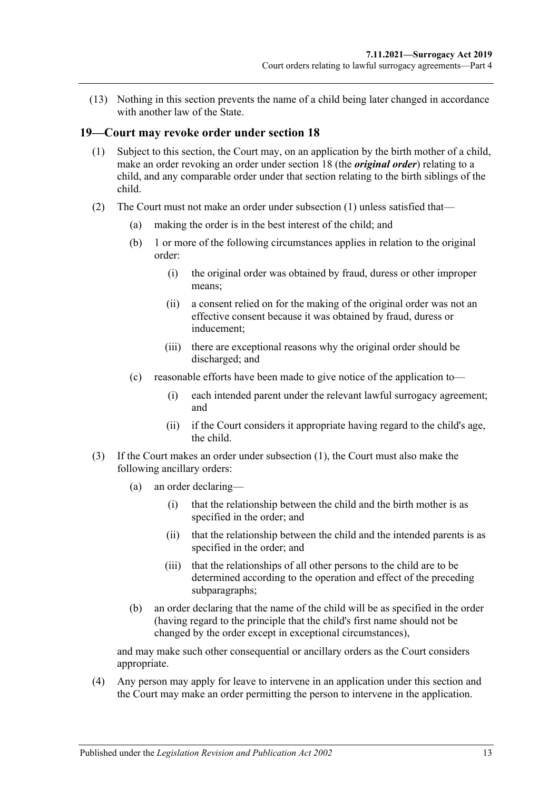(13) Nothing in this section prevents the name of a child being later changed in accordance with another law of the State.

#### <span id="page-12-1"></span><span id="page-12-0"></span>**19—Court may revoke order under [section](#page-10-1) 18**

- (1) Subject to this section, the Court may, on an application by the birth mother of a child, make an order revoking an order under [section](#page-10-1) 18 (the *original order*) relating to a child, and any comparable order under that section relating to the birth siblings of the child.
- (2) The Court must not make an order under [subsection](#page-12-1) (1) unless satisfied that—
	- (a) making the order is in the best interest of the child; and
	- (b) 1 or more of the following circumstances applies in relation to the original order:
		- (i) the original order was obtained by fraud, duress or other improper means;
		- (ii) a consent relied on for the making of the original order was not an effective consent because it was obtained by fraud, duress or inducement;
		- (iii) there are exceptional reasons why the original order should be discharged; and
	- (c) reasonable efforts have been made to give notice of the application to—
		- (i) each intended parent under the relevant lawful surrogacy agreement; and
		- (ii) if the Court considers it appropriate having regard to the child's age, the child.
- <span id="page-12-2"></span>(3) If the Court makes an order under [subsection](#page-12-1) (1), the Court must also make the following ancillary orders:
	- (a) an order declaring—
		- (i) that the relationship between the child and the birth mother is as specified in the order; and
		- (ii) that the relationship between the child and the intended parents is as specified in the order; and
		- (iii) that the relationships of all other persons to the child are to be determined according to the operation and effect of the preceding subparagraphs;
	- (b) an order declaring that the name of the child will be as specified in the order (having regard to the principle that the child's first name should not be changed by the order except in exceptional circumstances),

and may make such other consequential or ancillary orders as the Court considers appropriate.

(4) Any person may apply for leave to intervene in an application under this section and the Court may make an order permitting the person to intervene in the application.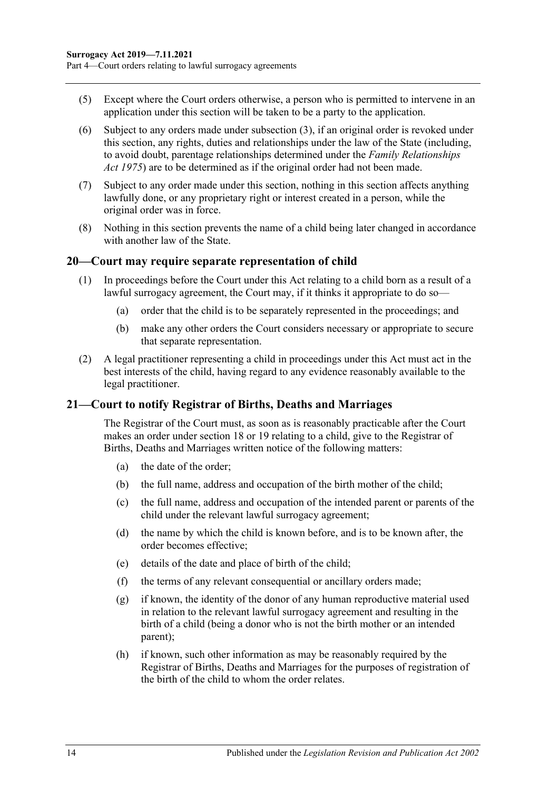- (5) Except where the Court orders otherwise, a person who is permitted to intervene in an application under this section will be taken to be a party to the application.
- (6) Subject to any orders made under [subsection](#page-12-2) (3), if an original order is revoked under this section, any rights, duties and relationships under the law of the State (including, to avoid doubt, parentage relationships determined under the *[Family Relationships](http://www.legislation.sa.gov.au/index.aspx?action=legref&type=act&legtitle=Family%20Relationships%20Act%201975)  Act [1975](http://www.legislation.sa.gov.au/index.aspx?action=legref&type=act&legtitle=Family%20Relationships%20Act%201975)*) are to be determined as if the original order had not been made.
- (7) Subject to any order made under this section, nothing in this section affects anything lawfully done, or any proprietary right or interest created in a person, while the original order was in force.
- (8) Nothing in this section prevents the name of a child being later changed in accordance with another law of the State.

#### <span id="page-13-0"></span>**20—Court may require separate representation of child**

- (1) In proceedings before the Court under this Act relating to a child born as a result of a lawful surrogacy agreement, the Court may, if it thinks it appropriate to do so—
	- (a) order that the child is to be separately represented in the proceedings; and
	- (b) make any other orders the Court considers necessary or appropriate to secure that separate representation.
- (2) A legal practitioner representing a child in proceedings under this Act must act in the best interests of the child, having regard to any evidence reasonably available to the legal practitioner.

#### <span id="page-13-1"></span>**21—Court to notify Registrar of Births, Deaths and Marriages**

The Registrar of the Court must, as soon as is reasonably practicable after the Court makes an order under [section](#page-10-1) 18 or [19](#page-12-0) relating to a child, give to the Registrar of Births, Deaths and Marriages written notice of the following matters:

- (a) the date of the order;
- (b) the full name, address and occupation of the birth mother of the child;
- (c) the full name, address and occupation of the intended parent or parents of the child under the relevant lawful surrogacy agreement;
- (d) the name by which the child is known before, and is to be known after, the order becomes effective;
- (e) details of the date and place of birth of the child;
- (f) the terms of any relevant consequential or ancillary orders made;
- (g) if known, the identity of the donor of any human reproductive material used in relation to the relevant lawful surrogacy agreement and resulting in the birth of a child (being a donor who is not the birth mother or an intended parent);
- (h) if known, such other information as may be reasonably required by the Registrar of Births, Deaths and Marriages for the purposes of registration of the birth of the child to whom the order relates.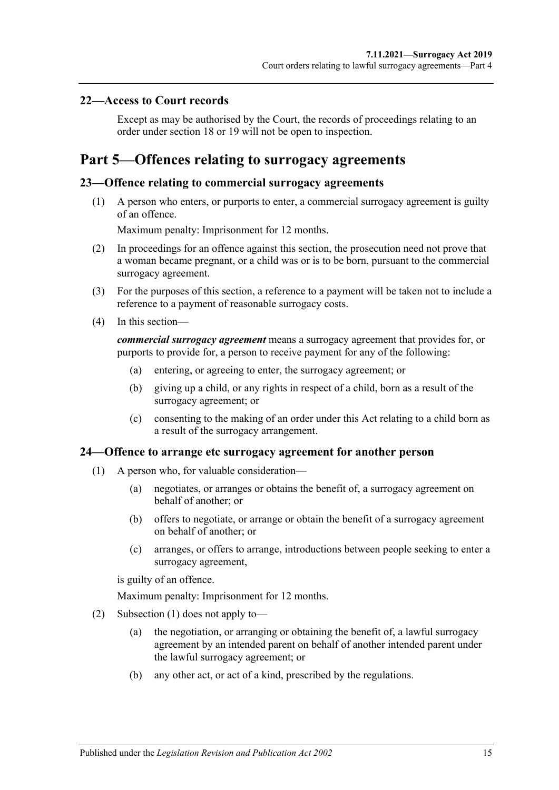#### <span id="page-14-0"></span>**22—Access to Court records**

Except as may be authorised by the Court, the records of proceedings relating to an order under [section](#page-10-1) 18 or [19](#page-12-0) will not be open to inspection.

## <span id="page-14-1"></span>**Part 5—Offences relating to surrogacy agreements**

#### <span id="page-14-2"></span>**23—Offence relating to commercial surrogacy agreements**

(1) A person who enters, or purports to enter, a commercial surrogacy agreement is guilty of an offence.

Maximum penalty: Imprisonment for 12 months.

- (2) In proceedings for an offence against this section, the prosecution need not prove that a woman became pregnant, or a child was or is to be born, pursuant to the commercial surrogacy agreement.
- (3) For the purposes of this section, a reference to a payment will be taken not to include a reference to a payment of reasonable surrogacy costs.
- (4) In this section—

*commercial surrogacy agreement* means a surrogacy agreement that provides for, or purports to provide for, a person to receive payment for any of the following:

- (a) entering, or agreeing to enter, the surrogacy agreement; or
- (b) giving up a child, or any rights in respect of a child, born as a result of the surrogacy agreement; or
- (c) consenting to the making of an order under this Act relating to a child born as a result of the surrogacy arrangement.

#### <span id="page-14-4"></span><span id="page-14-3"></span>**24—Offence to arrange etc surrogacy agreement for another person**

- (1) A person who, for valuable consideration—
	- (a) negotiates, or arranges or obtains the benefit of, a surrogacy agreement on behalf of another; or
	- (b) offers to negotiate, or arrange or obtain the benefit of a surrogacy agreement on behalf of another; or
	- (c) arranges, or offers to arrange, introductions between people seeking to enter a surrogacy agreement,

is guilty of an offence.

Maximum penalty: Imprisonment for 12 months.

- (2) [Subsection](#page-14-4) (1) does not apply to—
	- (a) the negotiation, or arranging or obtaining the benefit of, a lawful surrogacy agreement by an intended parent on behalf of another intended parent under the lawful surrogacy agreement; or
	- (b) any other act, or act of a kind, prescribed by the regulations.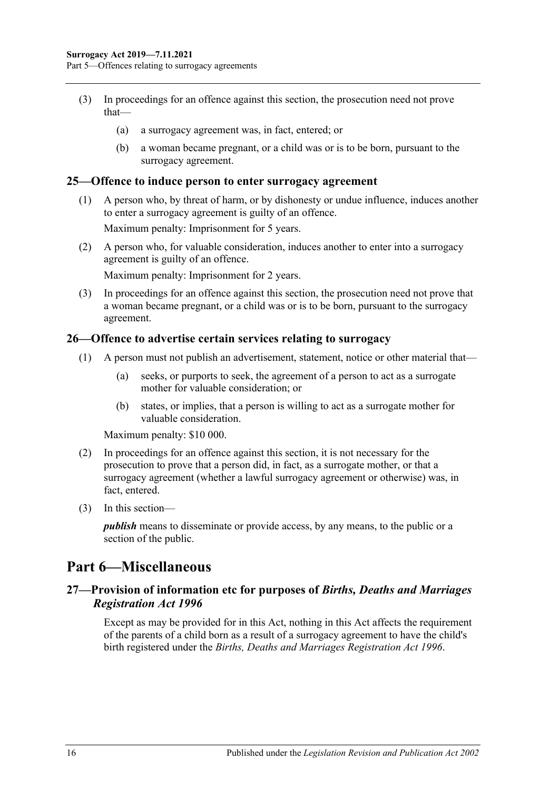- (3) In proceedings for an offence against this section, the prosecution need not prove that—
	- (a) a surrogacy agreement was, in fact, entered; or
	- (b) a woman became pregnant, or a child was or is to be born, pursuant to the surrogacy agreement.

#### <span id="page-15-0"></span>**25—Offence to induce person to enter surrogacy agreement**

(1) A person who, by threat of harm, or by dishonesty or undue influence, induces another to enter a surrogacy agreement is guilty of an offence.

Maximum penalty: Imprisonment for 5 years.

(2) A person who, for valuable consideration, induces another to enter into a surrogacy agreement is guilty of an offence.

Maximum penalty: Imprisonment for 2 years.

(3) In proceedings for an offence against this section, the prosecution need not prove that a woman became pregnant, or a child was or is to be born, pursuant to the surrogacy agreement.

#### <span id="page-15-1"></span>**26—Offence to advertise certain services relating to surrogacy**

- (1) A person must not publish an advertisement, statement, notice or other material that—
	- (a) seeks, or purports to seek, the agreement of a person to act as a surrogate mother for valuable consideration; or
	- (b) states, or implies, that a person is willing to act as a surrogate mother for valuable consideration.

Maximum penalty: \$10 000.

- (2) In proceedings for an offence against this section, it is not necessary for the prosecution to prove that a person did, in fact, as a surrogate mother, or that a surrogacy agreement (whether a lawful surrogacy agreement or otherwise) was, in fact, entered.
- (3) In this section—

*publish* means to disseminate or provide access, by any means, to the public or a section of the public.

### <span id="page-15-2"></span>**Part 6—Miscellaneous**

#### <span id="page-15-3"></span>**27—Provision of information etc for purposes of** *Births, Deaths and Marriages Registration Act 1996*

Except as may be provided for in this Act, nothing in this Act affects the requirement of the parents of a child born as a result of a surrogacy agreement to have the child's birth registered under the *[Births, Deaths and Marriages Registration Act](http://www.legislation.sa.gov.au/index.aspx?action=legref&type=act&legtitle=Births%20Deaths%20and%20Marriages%20Registration%20Act%201996) 1996*.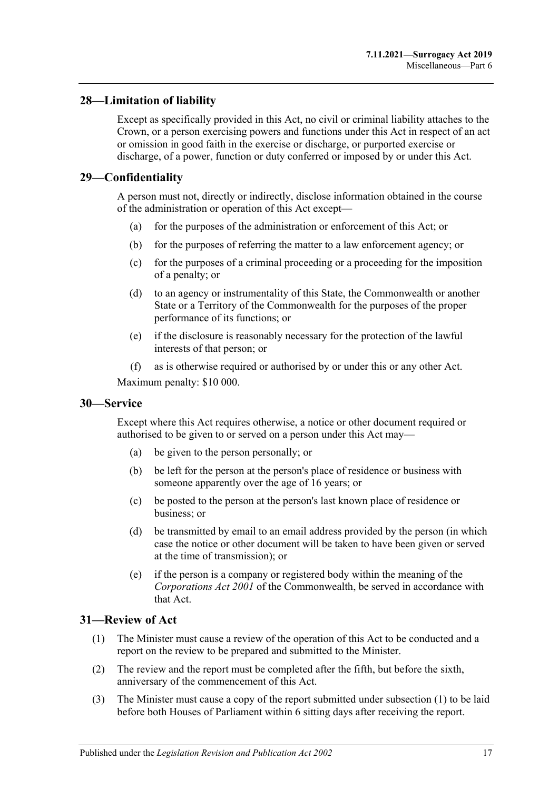### <span id="page-16-0"></span>**28—Limitation of liability**

Except as specifically provided in this Act, no civil or criminal liability attaches to the Crown, or a person exercising powers and functions under this Act in respect of an act or omission in good faith in the exercise or discharge, or purported exercise or discharge, of a power, function or duty conferred or imposed by or under this Act.

### <span id="page-16-1"></span>**29—Confidentiality**

A person must not, directly or indirectly, disclose information obtained in the course of the administration or operation of this Act except—

- (a) for the purposes of the administration or enforcement of this Act; or
- (b) for the purposes of referring the matter to a law enforcement agency; or
- (c) for the purposes of a criminal proceeding or a proceeding for the imposition of a penalty; or
- (d) to an agency or instrumentality of this State, the Commonwealth or another State or a Territory of the Commonwealth for the purposes of the proper performance of its functions; or
- (e) if the disclosure is reasonably necessary for the protection of the lawful interests of that person; or
- (f) as is otherwise required or authorised by or under this or any other Act.

Maximum penalty: \$10 000.

#### <span id="page-16-2"></span>**30—Service**

Except where this Act requires otherwise, a notice or other document required or authorised to be given to or served on a person under this Act may—

- (a) be given to the person personally; or
- (b) be left for the person at the person's place of residence or business with someone apparently over the age of 16 years; or
- (c) be posted to the person at the person's last known place of residence or business; or
- (d) be transmitted by email to an email address provided by the person (in which case the notice or other document will be taken to have been given or served at the time of transmission); or
- (e) if the person is a company or registered body within the meaning of the *Corporations Act 2001* of the Commonwealth, be served in accordance with that Act.

#### <span id="page-16-4"></span><span id="page-16-3"></span>**31—Review of Act**

- (1) The Minister must cause a review of the operation of this Act to be conducted and a report on the review to be prepared and submitted to the Minister.
- (2) The review and the report must be completed after the fifth, but before the sixth, anniversary of the commencement of this Act.
- (3) The Minister must cause a copy of the report submitted under [subsection](#page-16-4) (1) to be laid before both Houses of Parliament within 6 sitting days after receiving the report.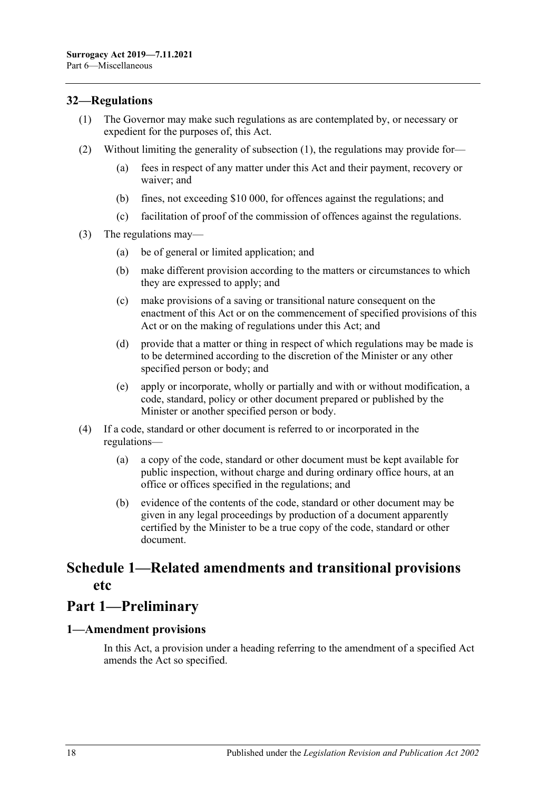### <span id="page-17-3"></span><span id="page-17-0"></span>**32—Regulations**

- (1) The Governor may make such regulations as are contemplated by, or necessary or expedient for the purposes of, this Act.
- (2) Without limiting the generality of [subsection](#page-17-3) (1), the regulations may provide for—
	- (a) fees in respect of any matter under this Act and their payment, recovery or waiver; and
	- (b) fines, not exceeding \$10 000, for offences against the regulations; and
	- (c) facilitation of proof of the commission of offences against the regulations.
- (3) The regulations may—
	- (a) be of general or limited application; and
	- (b) make different provision according to the matters or circumstances to which they are expressed to apply; and
	- (c) make provisions of a saving or transitional nature consequent on the enactment of this Act or on the commencement of specified provisions of this Act or on the making of regulations under this Act; and
	- (d) provide that a matter or thing in respect of which regulations may be made is to be determined according to the discretion of the Minister or any other specified person or body; and
	- (e) apply or incorporate, wholly or partially and with or without modification, a code, standard, policy or other document prepared or published by the Minister or another specified person or body.
- (4) If a code, standard or other document is referred to or incorporated in the regulations—
	- (a) a copy of the code, standard or other document must be kept available for public inspection, without charge and during ordinary office hours, at an office or offices specified in the regulations; and
	- (b) evidence of the contents of the code, standard or other document may be given in any legal proceedings by production of a document apparently certified by the Minister to be a true copy of the code, standard or other document.

## <span id="page-17-1"></span>**Schedule 1—Related amendments and transitional provisions etc**

## **Part 1—Preliminary**

#### <span id="page-17-2"></span>**1—Amendment provisions**

In this Act, a provision under a heading referring to the amendment of a specified Act amends the Act so specified.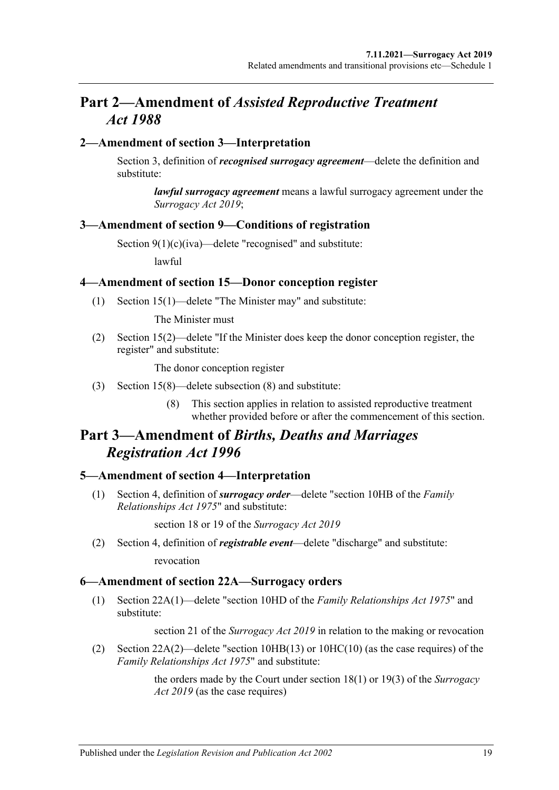## **Part 2—Amendment of** *Assisted Reproductive Treatment Act 1988*

#### <span id="page-18-0"></span>**2—Amendment of section 3—Interpretation**

Section 3, definition of *recognised surrogacy agreement*—delete the definition and substitute:

*lawful surrogacy agreement* means a lawful surrogacy agreement under the *[Surrogacy Act](http://www.legislation.sa.gov.au/index.aspx?action=legref&type=act&legtitle=Surrogacy%20Act%202019) 2019*;

#### <span id="page-18-1"></span>**3—Amendment of section 9—Conditions of registration**

Section 9(1)(c)(iva)—delete "recognised" and substitute:

lawful

#### <span id="page-18-2"></span>**4—Amendment of section 15—Donor conception register**

(1) Section 15(1)—delete "The Minister may" and substitute:

The Minister must

(2) Section 15(2)—delete "If the Minister does keep the donor conception register, the register" and substitute:

The donor conception register

- (3) Section 15(8)—delete subsection (8) and substitute:
	- (8) This section applies in relation to assisted reproductive treatment whether provided before or after the commencement of this section.

## **Part 3—Amendment of** *Births, Deaths and Marriages Registration Act 1996*

#### <span id="page-18-3"></span>**5—Amendment of section 4—Interpretation**

(1) Section 4, definition of *surrogacy order*—delete "section 10HB of the *[Family](http://www.legislation.sa.gov.au/index.aspx?action=legref&type=act&legtitle=Family%20Relationships%20Act%201975)  [Relationships Act](http://www.legislation.sa.gov.au/index.aspx?action=legref&type=act&legtitle=Family%20Relationships%20Act%201975) 1975*" and substitute:

section 18 or 19 of the *[Surrogacy Act](http://www.legislation.sa.gov.au/index.aspx?action=legref&type=act&legtitle=Surrogacy%20Act%202019) 2019*

(2) Section 4, definition of *registrable event*—delete "discharge" and substitute: revocation

#### <span id="page-18-4"></span>**6—Amendment of section 22A—Surrogacy orders**

(1) Section 22A(1)—delete "section 10HD of the *[Family Relationships Act](http://www.legislation.sa.gov.au/index.aspx?action=legref&type=act&legtitle=Family%20Relationships%20Act%201975) 1975*" and substitute:

section 21 of the *[Surrogacy Act](http://www.legislation.sa.gov.au/index.aspx?action=legref&type=act&legtitle=Surrogacy%20Act%202019) 2019* in relation to the making or revocation

(2) Section 22A(2)—delete "section 10HB(13) or 10HC(10) (as the case requires) of the *[Family Relationships Act](http://www.legislation.sa.gov.au/index.aspx?action=legref&type=act&legtitle=Family%20Relationships%20Act%201975) 1975*" and substitute:

> the orders made by the Court under section 18(1) or 19(3) of the *[Surrogacy](http://www.legislation.sa.gov.au/index.aspx?action=legref&type=act&legtitle=Surrogacy%20Act%202019)  Act [2019](http://www.legislation.sa.gov.au/index.aspx?action=legref&type=act&legtitle=Surrogacy%20Act%202019)* (as the case requires)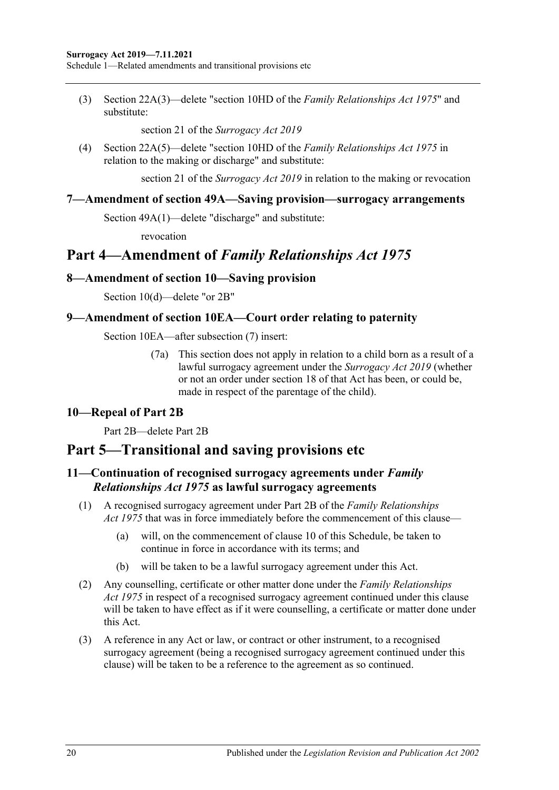(3) Section 22A(3)—delete "section 10HD of the *[Family Relationships Act](http://www.legislation.sa.gov.au/index.aspx?action=legref&type=act&legtitle=Family%20Relationships%20Act%201975) 1975*" and substitute:

section 21 of the *[Surrogacy Act](http://www.legislation.sa.gov.au/index.aspx?action=legref&type=act&legtitle=Surrogacy%20Act%202019) 2019*

(4) Section 22A(5)—delete "section 10HD of the *[Family Relationships Act](http://www.legislation.sa.gov.au/index.aspx?action=legref&type=act&legtitle=Family%20Relationships%20Act%201975) 1975* in relation to the making or discharge" and substitute:

section 21 of the *[Surrogacy Act](http://www.legislation.sa.gov.au/index.aspx?action=legref&type=act&legtitle=Surrogacy%20Act%202019) 2019* in relation to the making or revocation

#### <span id="page-19-0"></span>**7—Amendment of section 49A—Saving provision—surrogacy arrangements**

Section 49A(1)—delete "discharge" and substitute:

revocation

## **Part 4—Amendment of** *Family Relationships Act 1975*

#### <span id="page-19-1"></span>**8—Amendment of section 10—Saving provision**

Section 10(d)—delete "or 2B"

#### <span id="page-19-2"></span>**9—Amendment of section 10EA—Court order relating to paternity**

Section 10EA—after subsection (7) insert:

(7a) This section does not apply in relation to a child born as a result of a lawful surrogacy agreement under the *[Surrogacy Act](http://www.legislation.sa.gov.au/index.aspx?action=legref&type=act&legtitle=Surrogacy%20Act%202019) 2019* (whether or not an order under section 18 of that Act has been, or could be, made in respect of the parentage of the child).

### <span id="page-19-3"></span>**10—Repeal of Part 2B**

Part 2B—delete Part 2B

## **Part 5—Transitional and saving provisions etc**

### <span id="page-19-4"></span>**11—Continuation of recognised surrogacy agreements under** *Family Relationships Act 1975* **as lawful surrogacy agreements**

- (1) A recognised surrogacy agreement under Part 2B of the *[Family Relationships](http://www.legislation.sa.gov.au/index.aspx?action=legref&type=act&legtitle=Family%20Relationships%20Act%201975)  Act [1975](http://www.legislation.sa.gov.au/index.aspx?action=legref&type=act&legtitle=Family%20Relationships%20Act%201975)* that was in force immediately before the commencement of this clause—
	- (a) will, on the commencement of [clause](#page-19-3) 10 of this Schedule, be taken to continue in force in accordance with its terms; and
	- (b) will be taken to be a lawful surrogacy agreement under this Act.
- (2) Any counselling, certificate or other matter done under the *[Family Relationships](http://www.legislation.sa.gov.au/index.aspx?action=legref&type=act&legtitle=Family%20Relationships%20Act%201975)  Act [1975](http://www.legislation.sa.gov.au/index.aspx?action=legref&type=act&legtitle=Family%20Relationships%20Act%201975)* in respect of a recognised surrogacy agreement continued under this clause will be taken to have effect as if it were counselling, a certificate or matter done under this Act.
- (3) A reference in any Act or law, or contract or other instrument, to a recognised surrogacy agreement (being a recognised surrogacy agreement continued under this clause) will be taken to be a reference to the agreement as so continued.